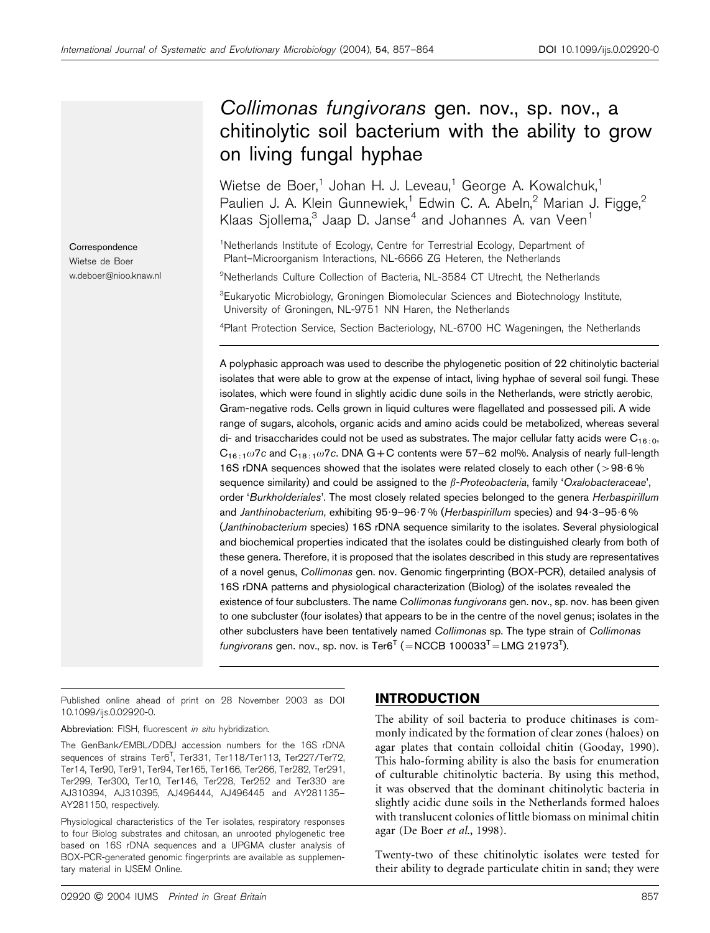# Collimonas fungivorans gen. nov., sp. nov., a chitinolytic soil bacterium with the ability to grow on living fungal hyphae

Wietse de Boer,<sup>1</sup> Johan H. J. Leveau,<sup>1</sup> George A. Kowalchuk,<sup>1</sup> Paulien J. A. Klein Gunnewiek,<sup>1</sup> Edwin C. A. Abeln,<sup>2</sup> Marian J. Figge,<sup>2</sup> Klaas Sjollema, $3$  Jaap D. Janse<sup>4</sup> and Johannes A. van Veen<sup>1</sup>

<sup>1</sup>Netherlands Institute of Ecology, Centre for Terrestrial Ecology, Department of Plant–Microorganism Interactions, NL-6666 ZG Heteren, the Netherlands

<sup>2</sup>Netherlands Culture Collection of Bacteria, NL-3584 CT Utrecht, the Netherlands

<sup>3</sup>Eukaryotic Microbiology, Groningen Biomolecular Sciences and Biotechnology Institute, University of Groningen, NL-9751 NN Haren, the Netherlands

4 Plant Protection Service, Section Bacteriology, NL-6700 HC Wageningen, the Netherlands

A polyphasic approach was used to describe the phylogenetic position of 22 chitinolytic bacterial isolates that were able to grow at the expense of intact, living hyphae of several soil fungi. These isolates, which were found in slightly acidic dune soils in the Netherlands, were strictly aerobic, Gram-negative rods. Cells grown in liquid cultures were flagellated and possessed pili. A wide range of sugars, alcohols, organic acids and amino acids could be metabolized, whereas several di- and trisaccharides could not be used as substrates. The major cellular fatty acids were  $C_{16:0}$ , C16 : 1v7c and C18 : 1v7c. DNA G*+*C contents were 57–62 mol%. Analysis of nearly full-length 16S rDNA sequences showed that the isolates were related closely to each other ( $>98.6\%$ sequence similarity) and could be assigned to the  $\beta$ -Proteobacteria, family 'Oxalobacteraceae', order 'Burkholderiales'. The most closely related species belonged to the genera Herbaspirillum and Janthinobacterium, exhibiting 95.9-96.7% (Herbaspirillum species) and 94.3-95.6% (Janthinobacterium species) 16S rDNA sequence similarity to the isolates. Several physiological and biochemical properties indicated that the isolates could be distinguished clearly from both of these genera. Therefore, it is proposed that the isolates described in this study are representatives of a novel genus, Collimonas gen. nov. Genomic fingerprinting (BOX-PCR), detailed analysis of 16S rDNA patterns and physiological characterization (Biolog) of the isolates revealed the existence of four subclusters. The name Collimonas fungivorans gen. nov., sp. nov. has been given to one subcluster (four isolates) that appears to be in the centre of the novel genus; isolates in the other subclusters have been tentatively named Collimonas sp. The type strain of Collimonas *fungivorans* gen. nov., sp. nov. is Ter6<sup>T</sup> (=NCCB 100033<sup>T</sup>=LMG 21973<sup>T</sup>).

Published online ahead of print on 28 November 2003 as DOI 10.1099/ijs.0.02920-0.

Abbreviation: FISH, fluorescent in situ hybridization.

The GenBank/EMBL/DDBJ accession numbers for the 16S rDNA sequences of strains Ter6<sup>T</sup>, Ter331, Ter118/Ter113, Ter227/Ter72, Ter14, Ter90, Ter91, Ter94, Ter165, Ter166, Ter266, Ter282, Ter291, Ter299, Ter300, Ter10, Ter146, Ter228, Ter252 and Ter330 are AJ310394, AJ310395, AJ496444, AJ496445 and AY281135– AY281150, respectively.

Physiological characteristics of the Ter isolates, respiratory responses to four Biolog substrates and chitosan, an unrooted phylogenetic tree based on 16S rDNA sequences and a UPGMA cluster analysis of BOX-PCR-generated genomic fingerprints are available as supplementary material in IJSEM Online.

# INTRODUCTION

The ability of soil bacteria to produce chitinases is commonly indicated by the formation of clear zones (haloes) on agar plates that contain colloidal chitin (Gooday, 1990). This halo-forming ability is also the basis for enumeration of culturable chitinolytic bacteria. By using this method, it was observed that the dominant chitinolytic bacteria in slightly acidic dune soils in the Netherlands formed haloes with translucent colonies of little biomass on minimal chitin agar (De Boer et al., 1998).

Twenty-two of these chitinolytic isolates were tested for their ability to degrade particulate chitin in sand; they were

Correspondence Wietse de Boer w.deboer@nioo.knaw.nl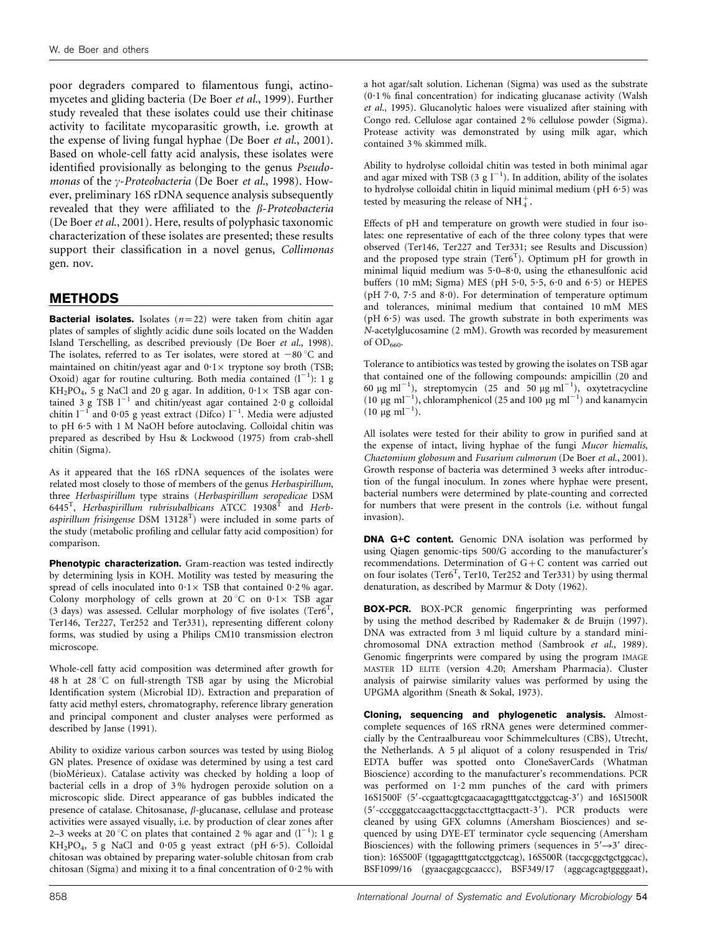poor degraders compared to filamentous fungi, actinomycetes and gliding bacteria (De Boer et al., 1999). Further study revealed that these isolates could use their chitinase activity to facilitate mycoparasitic growth, i.e. growth at the expense of living fungal hyphae (De Boer et al., 2001). Based on whole-cell fatty acid analysis, these isolates were identified provisionally as belonging to the genus Pseudomonas of the  $\gamma$ -Proteobacteria (De Boer et al., 1998). However, preliminary 16S rDNA sequence analysis subsequently revealed that they were affiliated to the  $\beta$ -Proteobacteria (De Boer et al., 2001). Here, results of polyphasic taxonomic characterization of these isolates are presented; these results support their classification in a novel genus, Collimonas gen. nov.

# METHODS

**Bacterial isolates.** Isolates  $(n=22)$  were taken from chitin agar plates of samples of slightly acidic dune soils located on the Wadden Island Terschelling, as described previously (De Boer et al., 1998). The isolates, referred to as Ter isolates, were stored at  $-80^{\circ}$ C and maintained on chitin/yeast agar and  $0.1 \times$  tryptone soy broth (TSB; Oxoid) agar for routine culturing. Both media contained  $(l^{-1})$ : 1 g  $KH_2PO_4$ , 5 g NaCl and 20 g agar. In addition,  $0.1 \times$  TSB agar contained 3 g TSB  $1^{-1}$  and chitin/yeast agar contained 2.0 g colloidal chitin  $l^{-1}$  and 0.05 g yeast extract (Difco)  $l^{-1}$ . Media were adjusted to pH 6?5 with 1 M NaOH before autoclaving. Colloidal chitin was prepared as described by Hsu & Lockwood (1975) from crab-shell chitin (Sigma).

As it appeared that the 16S rDNA sequences of the isolates were related most closely to those of members of the genus Herbaspirillum, three Herbaspirillum type strains (Herbaspirillum seropedicae DSM 6445<sup>T</sup>, Herbaspirillum rubrisubalbicans  $\widehat{\text{ATCC}}$  19308<sup>T</sup> and Herbaspirillum frisingense DSM 13128 $^T$ ) were included in some parts of the study (metabolic profiling and cellular fatty acid composition) for comparison.

Phenotypic characterization. Gram-reaction was tested indirectly by determining lysis in KOH. Motility was tested by measuring the spread of cells inoculated into  $0.1 \times$  TSB that contained  $0.2$ % agar. Colony morphology of cells grown at 20 $^{\circ}$ C on 0.1 $\times$  TSB agar  $(3 \text{ days})$  was assessed. Cellular morphology of five isolates  $(Ter6^T,$ Ter146, Ter227, Ter252 and Ter331), representing different colony forms, was studied by using a Philips CM10 transmission electron microscope.

Whole-cell fatty acid composition was determined after growth for 48 h at  $28^{\circ}$ C on full-strength TSB agar by using the Microbial Identification system (Microbial ID). Extraction and preparation of fatty acid methyl esters, chromatography, reference library generation and principal component and cluster analyses were performed as described by Janse (1991).

Ability to oxidize various carbon sources was tested by using Biolog GN plates. Presence of oxidase was determined by using a test card (bioMérieux). Catalase activity was checked by holding a loop of bacterial cells in a drop of 3 % hydrogen peroxide solution on a microscopic slide. Direct appearance of gas bubbles indicated the presence of catalase. Chitosanase,  $\beta$ -glucanase, cellulase and protease activities were assayed visually, i.e. by production of clear zones after 2–3 weeks at 20 °C on plates that contained 2 % agar and  $(l^{-1})$ : 1 g  $KH_2PO_4$ , 5 g NaCl and 0.05 g yeast extract (pH 6.5). Colloidal chitosan was obtained by preparing water-soluble chitosan from crab chitosan (Sigma) and mixing it to a final concentration of  $0.2$ % with

a hot agar/salt solution. Lichenan (Sigma) was used as the substrate  $(0.1\%$  final concentration) for indicating glucanase activity (Walsh et al., 1995). Glucanolytic haloes were visualized after staining with Congo red. Cellulose agar contained 2 % cellulose powder (Sigma). Protease activity was demonstrated by using milk agar, which contained 3 % skimmed milk.

Ability to hydrolyse colloidal chitin was tested in both minimal agar and agar mixed with TSB (3 g  $l^{-1}$ ). In addition, ability of the isolates to hydrolyse colloidal chitin in liquid minimal medium (pH  $6.5$ ) was tested by measuring the release of NH<sup>+</sup><sub>1</sub>.

Effects of pH and temperature on growth were studied in four isolates: one representative of each of the three colony types that were observed (Ter146, Ter227 and Ter331; see Results and Discussion) and the proposed type strain  $(Ter6^T)$ . Optimum pH for growth in minimal liquid medium was  $5.0-8.0$ , using the ethanesulfonic acid buffers (10 mM; Sigma) MES (pH  $5.0$ ,  $5.5$ ,  $6.0$  and  $6.5$ ) or HEPES (pH  $7.0$ ,  $7.5$  and  $8.0$ ). For determination of temperature optimum and tolerances, minimal medium that contained 10 mM MES ( $pH$  6 $\cdot$ 5) was used. The growth substrate in both experiments was N-acetylglucosamine (2 mM). Growth was recorded by measurement of OD<sub>660</sub>.

Tolerance to antibiotics was tested by growing the isolates on TSB agar that contained one of the following compounds: ampicillin (20 and 60 µg ml<sup>-1</sup>), streptomycin (25 and 50 µg ml<sup>-1</sup>), oxytetracycline (10  $\mu$ g ml<sup>-1</sup>), chloramphenicol (25 and 100  $\mu$ g ml<sup>-1</sup>) and kanamycin  $(10 \mu g \text{ ml}^{-1}).$ 

All isolates were tested for their ability to grow in purified sand at the expense of intact, living hyphae of the fungi Mucor hiemalis, Chaetomium globosum and Fusarium culmorum (De Boer et al., 2001). Growth response of bacteria was determined 3 weeks after introduction of the fungal inoculum. In zones where hyphae were present, bacterial numbers were determined by plate-counting and corrected for numbers that were present in the controls (i.e. without fungal invasion).

DNA G+C content. Genomic DNA isolation was performed by using Qiagen genomic-tips 500/G according to the manufacturer's recommendations. Determination of G+C content was carried out on four isolates (Ter6<sup>T</sup>, Ter10, Ter252 and Ter331) by using thermal denaturation, as described by Marmur & Doty (1962).

BOX-PCR. BOX-PCR genomic fingerprinting was performed by using the method described by Rademaker & de Bruijn (1997). DNA was extracted from 3 ml liquid culture by a standard minichromosomal DNA extraction method (Sambrook et al., 1989). Genomic fingerprints were compared by using the program IMAGE MASTER 1D ELITE (version 4.20; Amersham Pharmacia). Cluster analysis of pairwise similarity values was performed by using the UPGMA algorithm (Sneath & Sokal, 1973).

Cloning, sequencing and phylogenetic analysis. Almostcomplete sequences of 16S rRNA genes were determined commercially by the Centraalbureau voor Schimmelcultures (CBS), Utrecht, the Netherlands. A 5 µl aliquot of a colony resuspended in Tris/ EDTA buffer was spotted onto CloneSaverCards (Whatman Bioscience) according to the manufacturer's recommendations. PCR was performed on  $1.2$  mm punches of the card with primers 16S1500F (5'-ccgaattcgtcgacaacagagtttgatcctggctcag-3') and 16S1500R (5'-cccgggatccaagcttacggctaccttgttacgactt-3'). PCR products were cleaned by using GFX columns (Amersham Biosciences) and sequenced by using DYE-ET terminator cycle sequencing (Amersham Biosciences) with the following primers (sequences in  $5' \rightarrow 3'$  direction): 16S500F (tggagagtttgatcctggctcag), 16S500R (taccgcggctgctggcac), BSF1099/16 (gyaacgagcgcaaccc), BSF349/17 (aggcagcagtggggaat),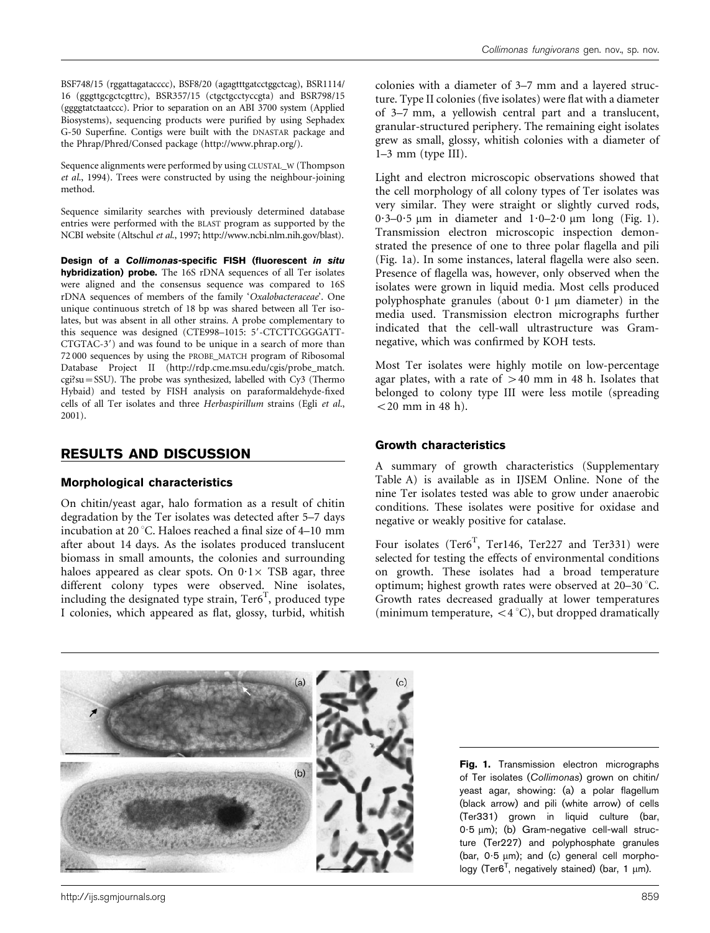BSF748/15 (rggattagatacccc), BSF8/20 (agagtttgatcctggctcag), BSR1114/ 16 (gggttgcgctcgttrc), BSR357/15 (ctgctgcctyccgta) and BSR798/15 (ggggtatctaatccc). Prior to separation on an ABI 3700 system (Applied Biosystems), sequencing products were purified by using Sephadex G-50 Superfine. Contigs were built with the DNASTAR package and the Phrap/Phred/Consed package (http://www.phrap.org/).

Sequence alignments were performed by using CLUSTAL\_W (Thompson et al., 1994). Trees were constructed by using the neighbour-joining method.

Sequence similarity searches with previously determined database entries were performed with the BLAST program as supported by the NCBI website (Altschul et al., 1997; http://www.ncbi.nlm.nih.gov/blast).

Design of a Collimonas-specific FISH (fluorescent in situ hybridization) probe. The 16S rDNA sequences of all Ter isolates were aligned and the consensus sequence was compared to 16S rDNA sequences of members of the family 'Oxalobacteraceae'. One unique continuous stretch of 18 bp was shared between all Ter isolates, but was absent in all other strains. A probe complementary to this sequence was designed (CTE998-1015: 5'-CTCTTCGGGATT-CTGTAC-3') and was found to be unique in a search of more than 72 000 sequences by using the PROBE\_MATCH program of Ribosomal Database Project II (http://rdp.cme.msu.edu/cgis/probe\_match. cgi?su=SSU). The probe was synthesized, labelled with Cy3 (Thermo Hybaid) and tested by FISH analysis on paraformaldehyde-fixed cells of all Ter isolates and three Herbaspirillum strains (Egli et al., 2001).

# RESULTS AND DISCUSSION

#### Morphological characteristics

On chitin/yeast agar, halo formation as a result of chitin degradation by the Ter isolates was detected after 5–7 days incubation at 20 $^{\circ}$ C. Haloes reached a final size of 4–10 mm after about 14 days. As the isolates produced translucent biomass in small amounts, the colonies and surrounding haloes appeared as clear spots. On  $0.1 \times$  TSB agar, three different colony types were observed. Nine isolates, including the designated type strain,  $Ter6<sup>T</sup>$ , produced type I colonies, which appeared as flat, glossy, turbid, whitish

colonies with a diameter of 3–7 mm and a layered structure. Type II colonies (five isolates) were flat with a diameter of 3–7 mm, a yellowish central part and a translucent, granular-structured periphery. The remaining eight isolates grew as small, glossy, whitish colonies with a diameter of 1–3 mm (type III).

Light and electron microscopic observations showed that the cell morphology of all colony types of Ter isolates was very similar. They were straight or slightly curved rods, 0.3–0.5  $\mu$ m in diameter and 1.0–2.0  $\mu$ m long (Fig. 1). Transmission electron microscopic inspection demonstrated the presence of one to three polar flagella and pili (Fig. 1a). In some instances, lateral flagella were also seen. Presence of flagella was, however, only observed when the isolates were grown in liquid media. Most cells produced polyphosphate granules (about  $0.1 \mu m$  diameter) in the media used. Transmission electron micrographs further indicated that the cell-wall ultrastructure was Gramnegative, which was confirmed by KOH tests.

Most Ter isolates were highly motile on low-percentage agar plates, with a rate of  $>40$  mm in 48 h. Isolates that belonged to colony type III were less motile (spreading  $<$  20 mm in 48 h).

### Growth characteristics

A summary of growth characteristics (Supplementary Table A) is available as in IJSEM Online. None of the nine Ter isolates tested was able to grow under anaerobic conditions. These isolates were positive for oxidase and negative or weakly positive for catalase.

Four isolates (Ter $6^T$ , Ter146, Ter227 and Ter331) were selected for testing the effects of environmental conditions on growth. These isolates had a broad temperature optimum; highest growth rates were observed at 20-30 °C. Growth rates decreased gradually at lower temperatures (minimum temperature,  $\langle 4 \degree C \rangle$ , but dropped dramatically



Fig. 1. Transmission electron micrographs of Ter isolates (Collimonas) grown on chitin/ yeast agar, showing: (a) a polar flagellum (black arrow) and pili (white arrow) of cells (Ter331) grown in liquid culture (bar, 0.5 µm); (b) Gram-negative cell-wall structure (Ter227) and polyphosphate granules (bar,  $0.5 \mu m$ ); and (c) general cell morphology (Ter6<sup>T</sup>, negatively stained) (bar, 1  $\mu$ m).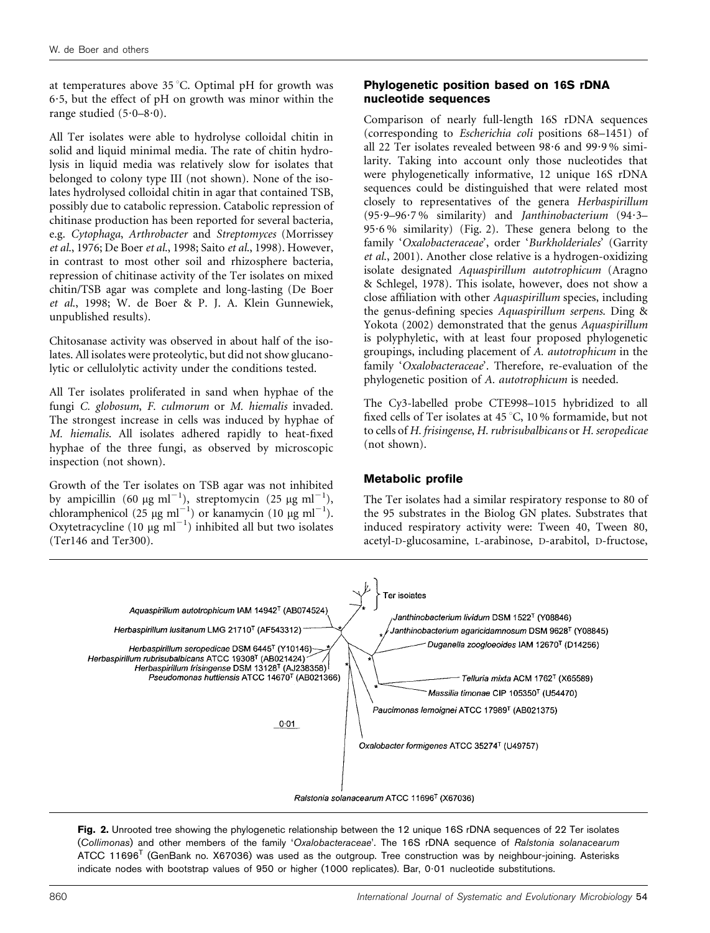at temperatures above  $35^{\circ}$ C. Optimal pH for growth was 6?5, but the effect of pH on growth was minor within the range studied  $(5.0-8.0)$ .

All Ter isolates were able to hydrolyse colloidal chitin in solid and liquid minimal media. The rate of chitin hydrolysis in liquid media was relatively slow for isolates that belonged to colony type III (not shown). None of the isolates hydrolysed colloidal chitin in agar that contained TSB, possibly due to catabolic repression. Catabolic repression of chitinase production has been reported for several bacteria, e.g. Cytophaga, Arthrobacter and Streptomyces (Morrissey et al., 1976; De Boer et al., 1998; Saito et al., 1998). However, in contrast to most other soil and rhizosphere bacteria, repression of chitinase activity of the Ter isolates on mixed chitin/TSB agar was complete and long-lasting (De Boer et al., 1998; W. de Boer & P. J. A. Klein Gunnewiek, unpublished results).

Chitosanase activity was observed in about half of the isolates. All isolates were proteolytic, but did not show glucanolytic or cellulolytic activity under the conditions tested.

All Ter isolates proliferated in sand when hyphae of the fungi C. globosum, F. culmorum or M. hiemalis invaded. The strongest increase in cells was induced by hyphae of M. hiemalis. All isolates adhered rapidly to heat-fixed hyphae of the three fungi, as observed by microscopic inspection (not shown).

Growth of the Ter isolates on TSB agar was not inhibited by ampicillin (60  $\mu$ g ml<sup>-1</sup>), streptomycin (25  $\mu$ g ml<sup>-1</sup>), chloramphenicol (25 µg ml<sup>-1</sup>) or kanamycin (10 µg ml<sup>-1</sup>). Oxytetracycline  $(10 \mu g \text{ ml}^{-1})$  inhibited all but two isolates (Ter146 and Ter300).

### Phylogenetic position based on 16S rDNA nucleotide sequences

Comparison of nearly full-length 16S rDNA sequences (corresponding to Escherichia coli positions 68–1451) of all 22 Ter isolates revealed between  $98.6$  and  $99.9\%$  similarity. Taking into account only those nucleotides that were phylogenetically informative, 12 unique 16S rDNA sequences could be distinguished that were related most closely to representatives of the genera Herbaspirillum (95?9–96?7 % similarity) and Janthinobacterium (94?3– 95.6% similarity) (Fig. 2). These genera belong to the family 'Oxalobacteraceae', order 'Burkholderiales' (Garrity et al., 2001). Another close relative is a hydrogen-oxidizing isolate designated Aquaspirillum autotrophicum (Aragno & Schlegel, 1978). This isolate, however, does not show a close affiliation with other Aquaspirillum species, including the genus-defining species Aquaspirillum serpens. Ding & Yokota (2002) demonstrated that the genus Aquaspirillum is polyphyletic, with at least four proposed phylogenetic groupings, including placement of A. autotrophicum in the family 'Oxalobacteraceae'. Therefore, re-evaluation of the phylogenetic position of A. autotrophicum is needed.

The Cy3-labelled probe CTE998–1015 hybridized to all fixed cells of Ter isolates at 45 °C, 10 % formamide, but not to cells of H. frisingense, H. rubrisubalbicans or H. seropedicae (not shown).

### Metabolic profile

The Ter isolates had a similar respiratory response to 80 of the 95 substrates in the Biolog GN plates. Substrates that induced respiratory activity were: Tween 40, Tween 80, acetyl-D-glucosamine, L-arabinose, D-arabitol, D-fructose,



Fig. 2. Unrooted tree showing the phylogenetic relationship between the 12 unique 16S rDNA sequences of 22 Ter isolates (Collimonas) and other members of the family 'Oxalobacteraceae'. The 16S rDNA sequence of Ralstonia solanacearum ATCC 11696<sup>T</sup> (GenBank no. X67036) was used as the outgroup. Tree construction was by neighbour-joining. Asterisks indicate nodes with bootstrap values of 950 or higher (1000 replicates). Bar, 0?01 nucleotide substitutions.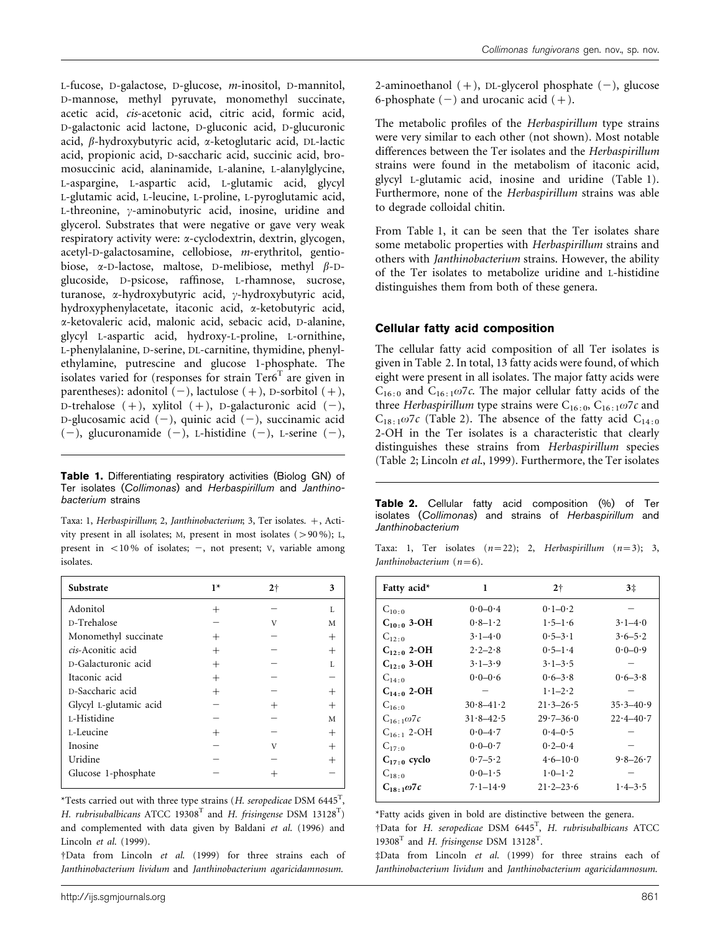L-fucose, D-galactose, D-glucose, m-inositol, D-mannitol, D-mannose, methyl pyruvate, monomethyl succinate, acetic acid, cis-acetonic acid, citric acid, formic acid, D-galactonic acid lactone, D-gluconic acid, D-glucuronic acid, b-hydroxybutyric acid, a-ketoglutaric acid, DL-lactic acid, propionic acid, D-saccharic acid, succinic acid, bromosuccinic acid, alaninamide, L-alanine, L-alanylglycine, L-aspargine, L-aspartic acid, L-glutamic acid, glycyl L-glutamic acid, L-leucine, L-proline, L-pyroglutamic acid, L-threonine,  $\gamma$ -aminobutyric acid, inosine, uridine and glycerol. Substrates that were negative or gave very weak respiratory activity were: a-cyclodextrin, dextrin, glycogen, acetyl-D-galactosamine, cellobiose, m-erythritol, gentiobiose,  $\alpha$ -D-lactose, maltose, D-melibiose, methyl  $\beta$ -Dglucoside, D-psicose, raffinose, L-rhamnose, sucrose, turanose, x-hydroxybutyric acid, y-hydroxybutyric acid, hydroxyphenylacetate, itaconic acid, a-ketobutyric acid, a-ketovaleric acid, malonic acid, sebacic acid, D-alanine, glycyl L-aspartic acid, hydroxy-L-proline, L-ornithine, L-phenylalanine, D-serine, DL-carnitine, thymidine, phenylethylamine, putrescine and glucose 1-phosphate. The isolates varied for (responses for strain  $Ter6<sup>T</sup>$  are given in parentheses): adonitol  $(-)$ , lactulose  $(+)$ , D-sorbitol  $(+)$ , D-trehalose  $(+)$ , xylitol  $(+)$ , D-galacturonic acid  $(-)$ , D-glucosamic acid  $(-)$ , quinic acid  $(-)$ , succinamic acid  $(-)$ , glucuronamide  $(-)$ , L-histidine  $(-)$ , L-serine  $(-)$ ,

Table 1. Differentiating respiratory activities (Biolog GN) of Ter isolates (Collimonas) and Herbaspirillum and Janthinobacterium strains

Taxa: 1, Herbaspirillum; 2, Janthinobacterium; 3, Ter isolates. +, Activity present in all isolates; M, present in most isolates  $(>90\%)$ ; L, present in  $< 10\%$  of isolates;  $-$ , not present; V, variable among isolates.

| Substrate              | $1*$   | 2 <sup>†</sup> | 3    |
|------------------------|--------|----------------|------|
| Adonitol               | $^+$   |                | L    |
| D-Trehalose            |        | V              | М    |
| Monomethyl succinate   | $^{+}$ |                | $^+$ |
| cis-Aconitic acid      | $^{+}$ |                |      |
| D-Galacturonic acid    | $^{+}$ |                | L    |
| Itaconic acid          | $^{+}$ |                |      |
| D-Saccharic acid       | $^{+}$ |                |      |
| Glycyl L-glutamic acid |        |                |      |
| L-Histidine            |        |                | M    |
| L-Leucine              |        |                |      |
| Inosine                |        | V              |      |
| Uridine                |        |                |      |
| Glucose 1-phosphate    |        |                |      |

\*Tests carried out with three type strains (H. seropedicae DSM 6445<sup>T</sup>, H. rubrisubalbicans ATCC 19308<sup>T</sup> and H. frisingense DSM 13128<sup>T</sup>) and complemented with data given by Baldani et al. (1996) and Lincoln et al. (1999).

†Data from Lincoln et al. (1999) for three strains each of Janthinobacterium lividum and Janthinobacterium agaricidamnosum.

2-aminoethanol  $(+)$ , DL-glycerol phosphate  $(-)$ , glucose 6-phosphate  $(-)$  and urocanic acid  $(+)$ .

The metabolic profiles of the Herbaspirillum type strains were very similar to each other (not shown). Most notable differences between the Ter isolates and the Herbaspirillum strains were found in the metabolism of itaconic acid, glycyl L-glutamic acid, inosine and uridine (Table 1). Furthermore, none of the Herbaspirillum strains was able to degrade colloidal chitin.

From Table 1, it can be seen that the Ter isolates share some metabolic properties with Herbaspirillum strains and others with Janthinobacterium strains. However, the ability of the Ter isolates to metabolize uridine and L-histidine distinguishes them from both of these genera.

# Cellular fatty acid composition

The cellular fatty acid composition of all Ter isolates is given in Table 2. In total, 13 fatty acids were found, of which eight were present in all isolates. The major fatty acids were  $C_{16:0}$  and  $C_{16:1}\omega$ 7c. The major cellular fatty acids of the three Herbaspirillum type strains were C<sub>16:0</sub>, C<sub>16:1</sub> $\omega$ 7c and  $C_{18:1}\omega$ 7c (Table 2). The absence of the fatty acid  $C_{14:0}$ 2-OH in the Ter isolates is a characteristic that clearly distinguishes these strains from Herbaspirillum species (Table 2; Lincoln et al., 1999). Furthermore, the Ter isolates

Table 2. Cellular fatty acid composition (%) of Ter isolates (Collimonas) and strains of Herbaspirillum and Janthinobacterium

|  |                             |  | Taxa: 1, Ter isolates $(n=22)$ ; 2, Herbaspirillum $(n=3)$ ; 3, |  |
|--|-----------------------------|--|-----------------------------------------------------------------|--|
|  | Janthinobacterium $(n=6)$ . |  |                                                                 |  |

| Fatty acid*         | 1                       | $2+$                      | 3 <sup>‡</sup> |
|---------------------|-------------------------|---------------------------|----------------|
| $C_{10:0}$          | $0.0 - 0.4$             | $0.1 - 0.2$               |                |
| $C_{10:0}$ 3-OH     | $0.8 - 1.2$             | $1.5 - 1.6$               | $3.1 - 4.0$    |
| $C_{12:0}$          | $3 \cdot 1 - 4 \cdot 0$ | $0.5 - 3.1$               | $3.6 - 5.2$    |
| $C_{12:0}$ 2-OH     | $2 \cdot 2 - 2 \cdot 8$ | $0.5 - 1.4$               | $0.0 - 0.9$    |
| $C_{12:0}$ 3-OH     | $3.1 - 3.9$             | $3.1 - 3.5$               |                |
| $C_{14}$ . 0        | $0.0 - 0.6$             | $0.6 - 3.8$               | $0.6 - 3.8$    |
| $C_{14:0}$ 2-OH     |                         | $1.1 - 2.2$               |                |
| $C_{16.0}$          | $30.8 - 41.2$           | $21.3 - 26.5$             | $35.3 - 40.9$  |
| $C_{16+1}\omega$ 7c | $31.8 - 42.5$           | $29.7 - 36.0$             | $22.4 - 40.7$  |
| $C_{16+1}$ 2-OH     | $0.0 - 4.7$             | $0.4 - 0.5$               |                |
| $C_{17}$ o          | $0.0 - 0.7$             | $0.2 - 0.4$               |                |
| $C_{17:0}$ cyclo    | $0.7 - 5.2$             | $4.6 - 10.0$              | $9.8 - 26.7$   |
| $C_{18:0}$          | $0.0 - 1.5$             | $1.0 - 1.2$               |                |
| $C_{18+1}\omega 7c$ | $7.1 - 14.9$            | $21 \cdot 2 - 23 \cdot 6$ | $1.4 - 3.5$    |

\*Fatty acids given in bold are distinctive between the genera.  $\dagger$ Data for H. seropedicae DSM 6445<sup>T</sup>, H. rubrisubalbicans ATCC 19308<sup>T</sup> and H. frisingense DSM 13128<sup>T</sup>.

‡Data from Lincoln et al. (1999) for three strains each of Janthinobacterium lividum and Janthinobacterium agaricidamnosum.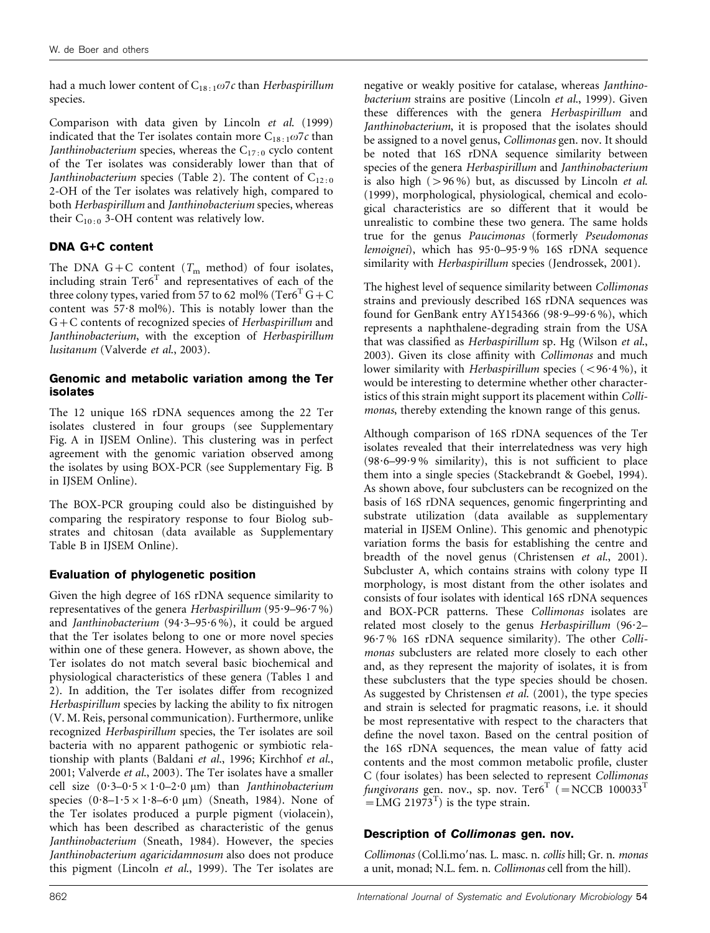had a much lower content of  $C_{18:1}\omega$ 7c than Herbaspirillum species.

Comparison with data given by Lincoln et al. (1999) indicated that the Ter isolates contain more  $C_{18:1}\omega$ 7c than Janthinobacterium species, whereas the  $C_{17:0}$  cyclo content of the Ter isolates was considerably lower than that of Janthinobacterium species (Table 2). The content of  $C_{12:0}$ 2-OH of the Ter isolates was relatively high, compared to both Herbaspirillum and Janthinobacterium species, whereas their  $C_{10:0}$  3-OH content was relatively low.

# DNA G+C content

The DNA G+C content ( $T<sub>m</sub>$  method) of four isolates, including strain  $Ter6<sup>T</sup>$  and representatives of each of the three colony types, varied from 57 to 62 mol% (Ter $6^T G + C$ content was 57.8 mol%). This is notably lower than the G+C contents of recognized species of Herbaspirillum and Janthinobacterium, with the exception of Herbaspirillum lusitanum (Valverde et al., 2003).

### Genomic and metabolic variation among the Ter isolates

The 12 unique 16S rDNA sequences among the 22 Ter isolates clustered in four groups (see Supplementary Fig. A in IJSEM Online). This clustering was in perfect agreement with the genomic variation observed among the isolates by using BOX-PCR (see Supplementary Fig. B in IJSEM Online).

The BOX-PCR grouping could also be distinguished by comparing the respiratory response to four Biolog substrates and chitosan (data available as Supplementary Table B in IJSEM Online).

# Evaluation of phylogenetic position

Given the high degree of 16S rDNA sequence similarity to representatives of the genera Herbaspirillum (95 $-9-96-7\%$ ) and Janthinobacterium (94 $\cdot$ 3-95 $\cdot$ 6%), it could be argued that the Ter isolates belong to one or more novel species within one of these genera. However, as shown above, the Ter isolates do not match several basic biochemical and physiological characteristics of these genera (Tables 1 and 2). In addition, the Ter isolates differ from recognized Herbaspirillum species by lacking the ability to fix nitrogen (V. M. Reis, personal communication). Furthermore, unlike recognized Herbaspirillum species, the Ter isolates are soil bacteria with no apparent pathogenic or symbiotic relationship with plants (Baldani et al., 1996; Kirchhof et al., 2001; Valverde et al., 2003). The Ter isolates have a smaller cell size  $(0.3-0.5 \times 1.0-2.0 \mu m)$  than *Janthinobacterium* species  $(0.8-1.5 \times 1.8-6.0 \mu m)$  (Sneath, 1984). None of the Ter isolates produced a purple pigment (violacein), which has been described as characteristic of the genus Janthinobacterium (Sneath, 1984). However, the species Janthinobacterium agaricidamnosum also does not produce this pigment (Lincoln et al., 1999). The Ter isolates are

negative or weakly positive for catalase, whereas Janthinobacterium strains are positive (Lincoln et al., 1999). Given these differences with the genera Herbaspirillum and Janthinobacterium, it is proposed that the isolates should be assigned to a novel genus, Collimonas gen. nov. It should be noted that 16S rDNA sequence similarity between species of the genera Herbaspirillum and Janthinobacterium is also high  $(>96\%)$  but, as discussed by Lincoln et al. (1999), morphological, physiological, chemical and ecological characteristics are so different that it would be unrealistic to combine these two genera. The same holds true for the genus Paucimonas (formerly Pseudomonas lemoignei), which has 95?0–95?9 % 16S rDNA sequence similarity with Herbaspirillum species (Jendrossek, 2001).

The highest level of sequence similarity between Collimonas strains and previously described 16S rDNA sequences was found for GenBank entry AY154366 (98.9-99.6%), which represents a naphthalene-degrading strain from the USA that was classified as Herbaspirillum sp. Hg (Wilson et al., 2003). Given its close affinity with Collimonas and much lower similarity with Herbaspirillum species  $(< 96.4 %$ ), it would be interesting to determine whether other characteristics of this strain might support its placement within Collimonas, thereby extending the known range of this genus.

Although comparison of 16S rDNA sequences of the Ter isolates revealed that their interrelatedness was very high (98?6–99?9 % similarity), this is not sufficient to place them into a single species (Stackebrandt & Goebel, 1994). As shown above, four subclusters can be recognized on the basis of 16S rDNA sequences, genomic fingerprinting and substrate utilization (data available as supplementary material in IJSEM Online). This genomic and phenotypic variation forms the basis for establishing the centre and breadth of the novel genus (Christensen et al., 2001). Subcluster A, which contains strains with colony type II morphology, is most distant from the other isolates and consists of four isolates with identical 16S rDNA sequences and BOX-PCR patterns. These Collimonas isolates are related most closely to the genus Herbaspirillum (96.2– 96?7 % 16S rDNA sequence similarity). The other Collimonas subclusters are related more closely to each other and, as they represent the majority of isolates, it is from these subclusters that the type species should be chosen. As suggested by Christensen et al. (2001), the type species and strain is selected for pragmatic reasons, i.e. it should be most representative with respect to the characters that define the novel taxon. Based on the central position of the 16S rDNA sequences, the mean value of fatty acid contents and the most common metabolic profile, cluster C (four isolates) has been selected to represent Collimonas fungivorans gen. nov., sp. nov. Ter $6^T$  (=NCCB 100033<sup>T</sup>  $=$  LMG 21973<sup>T</sup>) is the type strain.

# Description of Collimonas gen. nov.

Collimonas (Col.li.mo'nas. L. masc. n. collis hill; Gr. n. monas a unit, monad; N.L. fem. n. Collimonas cell from the hill).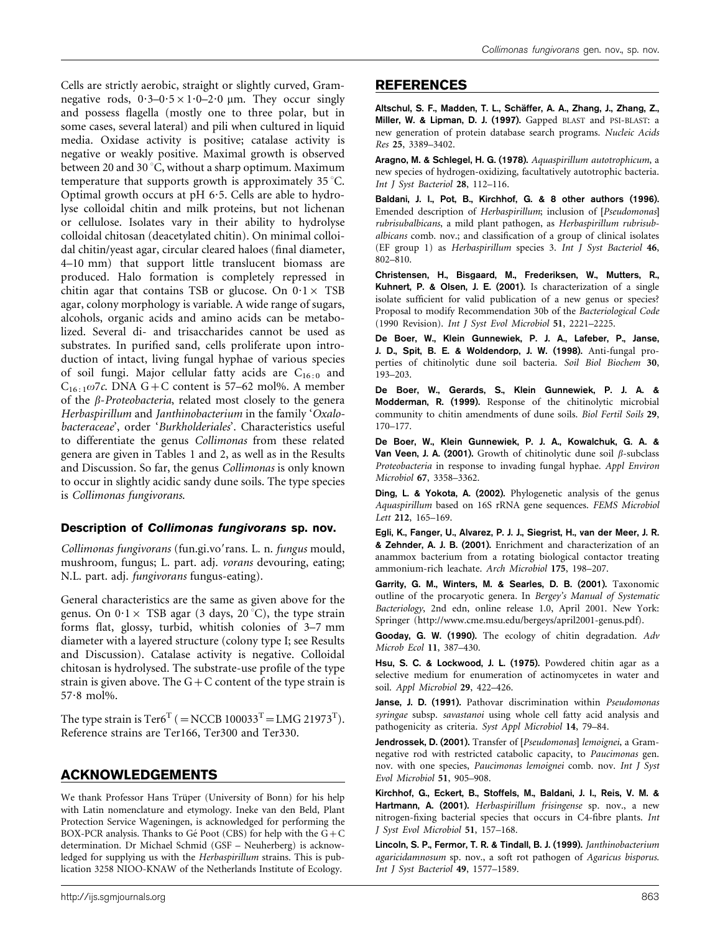Cells are strictly aerobic, straight or slightly curved, Gramnegative rods,  $0.3-0.5 \times 1.0-2.0 \mu m$ . They occur singly and possess flagella (mostly one to three polar, but in some cases, several lateral) and pili when cultured in liquid media. Oxidase activity is positive; catalase activity is negative or weakly positive. Maximal growth is observed between 20 and 30 $^{\circ}$ C, without a sharp optimum. Maximum temperature that supports growth is approximately 35 °C. Optimal growth occurs at pH 6?5. Cells are able to hydrolyse colloidal chitin and milk proteins, but not lichenan or cellulose. Isolates vary in their ability to hydrolyse colloidal chitosan (deacetylated chitin). On minimal colloidal chitin/yeast agar, circular cleared haloes (final diameter, 4–10 mm) that support little translucent biomass are produced. Halo formation is completely repressed in chitin agar that contains TSB or glucose. On  $0.1 \times$  TSB agar, colony morphology is variable. A wide range of sugars, alcohols, organic acids and amino acids can be metabolized. Several di- and trisaccharides cannot be used as substrates. In purified sand, cells proliferate upon introduction of intact, living fungal hyphae of various species of soil fungi. Major cellular fatty acids are  $C_{16:0}$  and  $C_{16:1} \omega$ 7c. DNA G+C content is 57–62 mol%. A member of the  $\beta$ -Proteobacteria, related most closely to the genera Herbaspirillum and Janthinobacterium in the family 'Oxalobacteraceae', order 'Burkholderiales'. Characteristics useful to differentiate the genus Collimonas from these related genera are given in Tables 1 and 2, as well as in the Results and Discussion. So far, the genus Collimonas is only known to occur in slightly acidic sandy dune soils. The type species is Collimonas fungivorans.

#### Description of Collimonas fungivorans sp. nov.

Collimonas fungivorans (fun.gi.vo'rans. L. n. fungus mould, mushroom, fungus; L. part. adj. vorans devouring, eating; N.L. part. adj. fungivorans fungus-eating).

General characteristics are the same as given above for the genus. On  $0.1 \times$  TSB agar (3 days, 20 °C), the type strain forms flat, glossy, turbid, whitish colonies of 3–7 mm diameter with a layered structure (colony type I; see Results and Discussion). Catalase activity is negative. Colloidal chitosan is hydrolysed. The substrate-use profile of the type strain is given above. The  $G+C$  content of the type strain is 57?8 mol%.

The type strain is  $\text{Ter6}^{\text{T}}$  (  $=\text{NCCB }100033^{\text{T}} = \text{LMG }21973^{\text{T}}$ ). Reference strains are Ter166, Ter300 and Ter330.

# ACKNOWLEDGEMENTS

We thank Professor Hans Trüper (University of Bonn) for his help with Latin nomenclature and etymology. Ineke van den Beld, Plant Protection Service Wageningen, is acknowledged for performing the BOX-PCR analysis. Thanks to Gé Poot (CBS) for help with the  $G+C$ determination. Dr Michael Schmid (GSF – Neuherberg) is acknowledged for supplying us with the Herbaspirillum strains. This is publication 3258 NIOO-KNAW of the Netherlands Institute of Ecology.

# REFERENCES

Altschul, S. F., Madden, T. L., Schäffer, A. A., Zhang, J., Zhang, Z., Miller, W. & Lipman, D. J. (1997). Gapped BLAST and PSI-BLAST: a new generation of protein database search programs. Nucleic Acids Res 25, 3389–3402.

Aragno, M. & Schlegel, H. G. (1978). Aquaspirillum autotrophicum, a new species of hydrogen-oxidizing, facultatively autotrophic bacteria. Int J Syst Bacteriol 28, 112–116.

Baldani, J. I., Pot, B., Kirchhof, G. & 8 other authors (1996). Emended description of Herbaspirillum; inclusion of [Pseudomonas] rubrisubalbicans, a mild plant pathogen, as Herbaspirillum rubrisubalbicans comb. nov.; and classification of a group of clinical isolates (EF group 1) as Herbaspirillum species 3. Int J Syst Bacteriol 46, 802–810.

Christensen, H., Bisgaard, M., Frederiksen, W., Mutters, R., Kuhnert, P. & Olsen, J. E. (2001). Is characterization of a single isolate sufficient for valid publication of a new genus or species? Proposal to modify Recommendation 30b of the Bacteriological Code (1990 Revision). Int J Syst Evol Microbiol 51, 2221–2225.

De Boer, W., Klein Gunnewiek, P. J. A., Lafeber, P., Janse, J. D., Spit, B. E. & Woldendorp, J. W. (1998). Anti-fungal properties of chitinolytic dune soil bacteria. Soil Biol Biochem 30, 193–203.

De Boer, W., Gerards, S., Klein Gunnewiek, P. J. A. & Modderman, R. (1999). Response of the chitinolytic microbial community to chitin amendments of dune soils. Biol Fertil Soils 29, 170–177.

De Boer, W., Klein Gunnewiek, P. J. A., Kowalchuk, G. A. & Van Veen, J. A. (2001). Growth of chitinolytic dune soil  $\beta$ -subclass Proteobacteria in response to invading fungal hyphae. Appl Environ Microbiol 67, 3358–3362.

Ding, L. & Yokota, A. (2002). Phylogenetic analysis of the genus Aquaspirillum based on 16S rRNA gene sequences. FEMS Microbiol Lett 212, 165–169.

Egli, K., Fanger, U., Alvarez, P. J. J., Siegrist, H., van der Meer, J. R. & Zehnder, A. J. B. (2001). Enrichment and characterization of an anammox bacterium from a rotating biological contactor treating ammonium-rich leachate. Arch Microbiol 175, 198–207.

Garrity, G. M., Winters, M. & Searles, D. B. (2001). Taxonomic outline of the procaryotic genera. In Bergey's Manual of Systematic Bacteriology, 2nd edn, online release 1.0, April 2001. New York: Springer (http://www.cme.msu.edu/bergeys/april2001-genus.pdf).

Gooday, G. W. (1990). The ecology of chitin degradation. Adv Microb Ecol 11, 387–430.

Hsu, S. C. & Lockwood, J. L. (1975). Powdered chitin agar as a selective medium for enumeration of actinomycetes in water and soil. Appl Microbiol 29, 422–426.

Janse, J. D. (1991). Pathovar discrimination within Pseudomonas syringae subsp. savastanoi using whole cell fatty acid analysis and pathogenicity as criteria. Syst Appl Microbiol 14, 79–84.

Jendrossek, D. (2001). Transfer of [Pseudomonas] lemoignei, a Gramnegative rod with restricted catabolic capacity, to Paucimonas gen. nov. with one species, Paucimonas lemoignei comb. nov. Int J Syst Evol Microbiol 51, 905–908.

Kirchhof, G., Eckert, B., Stoffels, M., Baldani, J. I., Reis, V. M. & Hartmann, A. (2001). Herbaspirillum frisingense sp. nov., a new nitrogen-fixing bacterial species that occurs in C4-fibre plants. Int J Syst Evol Microbiol 51, 157–168.

Lincoln, S. P., Fermor, T. R. & Tindall, B. J. (1999). Janthinobacterium agaricidamnosum sp. nov., a soft rot pathogen of Agaricus bisporus. Int J Syst Bacteriol 49, 1577–1589.